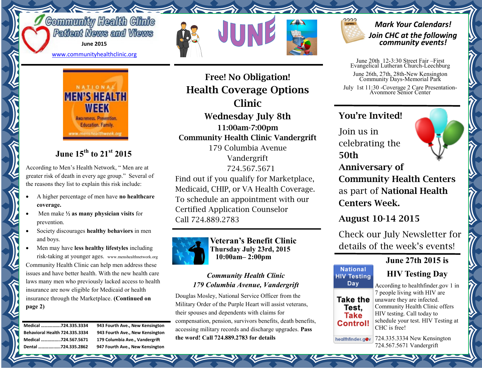# **Community Health Clinic** Patient News and Views

**June 2015**

[www.communityhealthclinic.org](http://www.communityhealthclinic.org)



# **June 15th to 21st 2015**

According to Men's Health Network, " Men are at greater risk of death in every age group." Several of the reasons they list to explain this risk include:

- A higher percentage of men have **no healthcare coverage.**
- Men make **½ as many physician visits** for prevention.
- Society discourages **healthy behaviors** in men and boys.
- Men may have **less healthy lifestyles** including risk-taking at younger ages. www.menshealthnetwork.org Community Health Clinic can help men address these issues and have better health. With the new health care laws many men who previously lacked access to health insurance are now eligible for Medicaid or health insurance through the Marketplace. **(Continued on page 2)**

| Medical 724.335.3334           |  |
|--------------------------------|--|
| Behavioral Health 724,335.3334 |  |
| Medical 724.567.5671           |  |
| Dental 724.335.2862            |  |

943 Fourth Ave., New Kensington **943 Fourth Ave., New Kensington** 179 Columbia Ave., Vandergrift **947 Fourth Ave., New Kensington** 

# **Free! No Obligation! Health Coverage Options Clinic Wednesday July 8th**

**11:00am-7:00pm Community Health Clinic Vandergrift** 179 Columbia Avenue Vandergrift 724.567.5671

Find out if you qualify for Marketplace, Medicaid, CHIP, or VA Health Coverage. To schedule an appointment with our Certified Application Counselor Call 724.889.2783



**Veteran's Benefit Clinic Thursday July 23rd, 2015 10:00am– 2:00pm** 

### *Community Health Clinic 179 Columbia Avenue, Vandergrift*

Douglas Mosley, National Service Officer from the Military Order of the Purple Heart will assist veterans, their spouses and dependents with claims for compensation, pension, survivors benefits, death benefits, accessing military records and discharge upgrades. **Pass the word! Call 724.889.2783 for details**

### *Mark Your Calendars! Join CHC at the following community events!*

June 20th 12-3:30 Street Fair –First Evangelical Lutheran Church-Leechburg

June 26th, 27th, 28th-New Kensington Community Days-Memorial Park

July 1st 11:30 -Coverage 2 Care Presentation-Avonmore Senior Center

## **You're Invited!**

Join us in celebrating the **50th** 

**Anniversary of Community Health Centers**  as part of **National Health Centers Week.**

**August 10-14 2015** 

**National HIV Testing** Day

> Test. Take

Check our July Newsletter for details of the week's events!

### **June 27th 2015 is**

# **HIV Testing Day**

According to healthfinder.gov 1 in 7 people living with HIV are Take the unaware they are infected. Community Health Clinic offers HIV testing. Call today to schedule your test. HIV Testing at Control! CHC is free!

724.335.3334 New Kensington healthfinder.gov 724.567.5671 Vandergrift